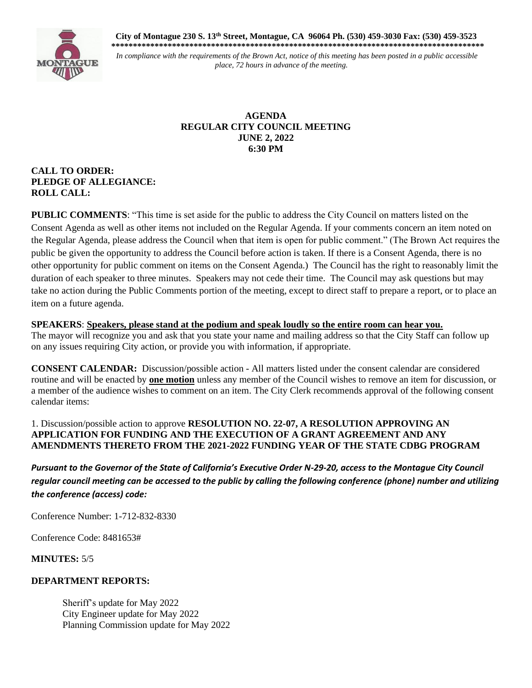**City of Montague 230 S. 13th Street, Montague, CA 96064 Ph. (530) 459-3030 Fax: (530) 459-3523 \*\*\*\*\*\*\*\*\*\*\*\*\*\*\*\*\*\*\*\*\*\*\*\*\*\*\*\*\*\*\*\*\*\*\*\*\*\*\*\*\*\*\*\*\*\*\*\*\*\*\*\*\*\*\*\*\*\*\*\*\*\*\*\*\*\*\*\*\*\*\*\*\*\*\*\*\*\*\*\*\*\*\*\*\*\***



*In compliance with the requirements of the Brown Act, notice of this meeting has been posted in a public accessible place, 72 hours in advance of the meeting.*

## **AGENDA REGULAR CITY COUNCIL MEETING JUNE 2, 2022 6:30 PM**

## **CALL TO ORDER: PLEDGE OF ALLEGIANCE: ROLL CALL:**

**PUBLIC COMMENTS**: "This time is set aside for the public to address the City Council on matters listed on the Consent Agenda as well as other items not included on the Regular Agenda. If your comments concern an item noted on the Regular Agenda, please address the Council when that item is open for public comment." (The Brown Act requires the public be given the opportunity to address the Council before action is taken. If there is a Consent Agenda, there is no other opportunity for public comment on items on the Consent Agenda.) The Council has the right to reasonably limit the duration of each speaker to three minutes. Speakers may not cede their time. The Council may ask questions but may take no action during the Public Comments portion of the meeting, except to direct staff to prepare a report, or to place an item on a future agenda.

## **SPEAKERS**: **Speakers, please stand at the podium and speak loudly so the entire room can hear you.**

The mayor will recognize you and ask that you state your name and mailing address so that the City Staff can follow up on any issues requiring City action, or provide you with information, if appropriate.

**CONSENT CALENDAR:** Discussion/possible action - All matters listed under the consent calendar are considered routine and will be enacted by **one motion** unless any member of the Council wishes to remove an item for discussion, or a member of the audience wishes to comment on an item. The City Clerk recommends approval of the following consent calendar items:

## 1. Discussion/possible action to approve **RESOLUTION NO. 22-07, A RESOLUTION APPROVING AN APPLICATION FOR FUNDING AND THE EXECUTION OF A GRANT AGREEMENT AND ANY AMENDMENTS THERETO FROM THE 2021-2022 FUNDING YEAR OF THE STATE CDBG PROGRAM**

*Pursuant to the Governor of the State of California's Executive Order N-29-20, access to the Montague City Council regular council meeting can be accessed to the public by calling the following conference (phone) number and utilizing the conference (access) code:*

Conference Number: 1-712-832-8330

Conference Code: 8481653#

**MINUTES:** 5/5

#### **DEPARTMENT REPORTS:**

Sheriff's update for May 2022 City Engineer update for May 2022 Planning Commission update for May 2022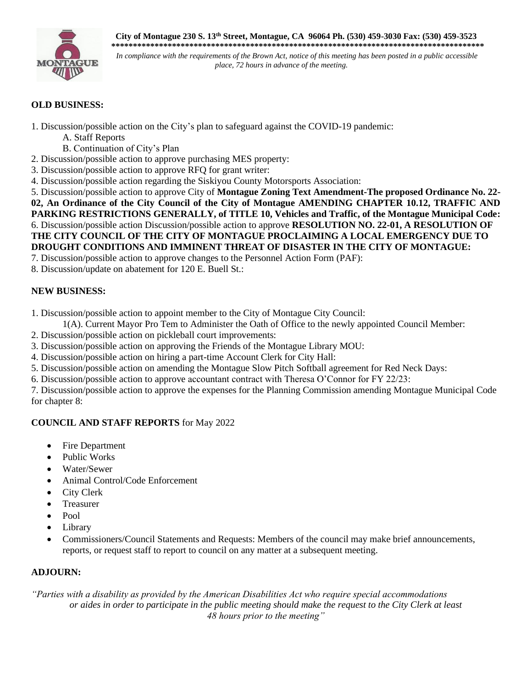**City of Montague 230 S. 13th Street, Montague, CA 96064 Ph. (530) 459-3030 Fax: (530) 459-3523 \*\*\*\*\*\*\*\*\*\*\*\*\*\*\*\*\*\*\*\*\*\*\*\*\*\*\*\*\*\*\*\*\*\*\*\*\*\*\*\*\*\*\*\*\*\*\*\*\*\*\*\*\*\*\*\*\*\*\*\*\*\*\*\*\*\*\*\*\*\*\*\*\*\*\*\*\*\*\*\*\*\*\*\*\*\***



*In compliance with the requirements of the Brown Act, notice of this meeting has been posted in a public accessible* $\frac{1}{2}$ *place, 72 hours in advance of the meeting.*

# **OLD BUSINESS:**

1. Discussion/possible action on the City's plan to safeguard against the COVID-19 pandemic:

- A. Staff Reports
- B. Continuation of City's Plan
- 2. Discussion/possible action to approve purchasing MES property:
- 3. Discussion/possible action to approve RFQ for grant writer:
- 4. Discussion/possible action regarding the Siskiyou County Motorsports Association:

5. Discussion/possible action to approve City of **Montague Zoning Text Amendment-The proposed Ordinance No. 22- 02, An Ordinance of the City Council of the City of Montague AMENDING CHAPTER 10.12, TRAFFIC AND PARKING RESTRICTIONS GENERALLY, of TITLE 10, Vehicles and Traffic, of the Montague Municipal Code:** 6. Discussion/possible action Discussion/possible action to approve **RESOLUTION NO. 22-01, A RESOLUTION OF THE CITY COUNCIL OF THE CITY OF MONTAGUE PROCLAIMING A LOCAL EMERGENCY DUE TO DROUGHT CONDITIONS AND IMMINENT THREAT OF DISASTER IN THE CITY OF MONTAGUE:**

- 7. Discussion/possible action to approve changes to the Personnel Action Form (PAF):
- 8. Discussion/update on abatement for 120 E. Buell St.:

## **NEW BUSINESS:**

1. Discussion/possible action to appoint member to the City of Montague City Council:

- 1(A). Current Mayor Pro Tem to Administer the Oath of Office to the newly appointed Council Member:
- 2. Discussion/possible action on pickleball court improvements:
- 3. Discussion/possible action on approving the Friends of the Montague Library MOU:
- 4. Discussion/possible action on hiring a part-time Account Clerk for City Hall:
- 5. Discussion/possible action on amending the Montague Slow Pitch Softball agreement for Red Neck Days:
- 6. Discussion/possible action to approve accountant contract with Theresa O'Connor for FY 22/23:

7. Discussion/possible action to approve the expenses for the Planning Commission amending Montague Municipal Code for chapter 8:

## **COUNCIL AND STAFF REPORTS** for May 2022

- Fire Department
- Public Works
- Water/Sewer
- Animal Control/Code Enforcement
- City Clerk
- **Treasurer**
- Pool
- **Library**
- Commissioners/Council Statements and Requests: Members of the council may make brief announcements, reports, or request staff to report to council on any matter at a subsequent meeting.

## **ADJOURN:**

*"Parties with a disability as provided by the American Disabilities Act who require special accommodations or aides in order to participate in the public meeting should make the request to the City Clerk at least 48 hours prior to the meeting"*